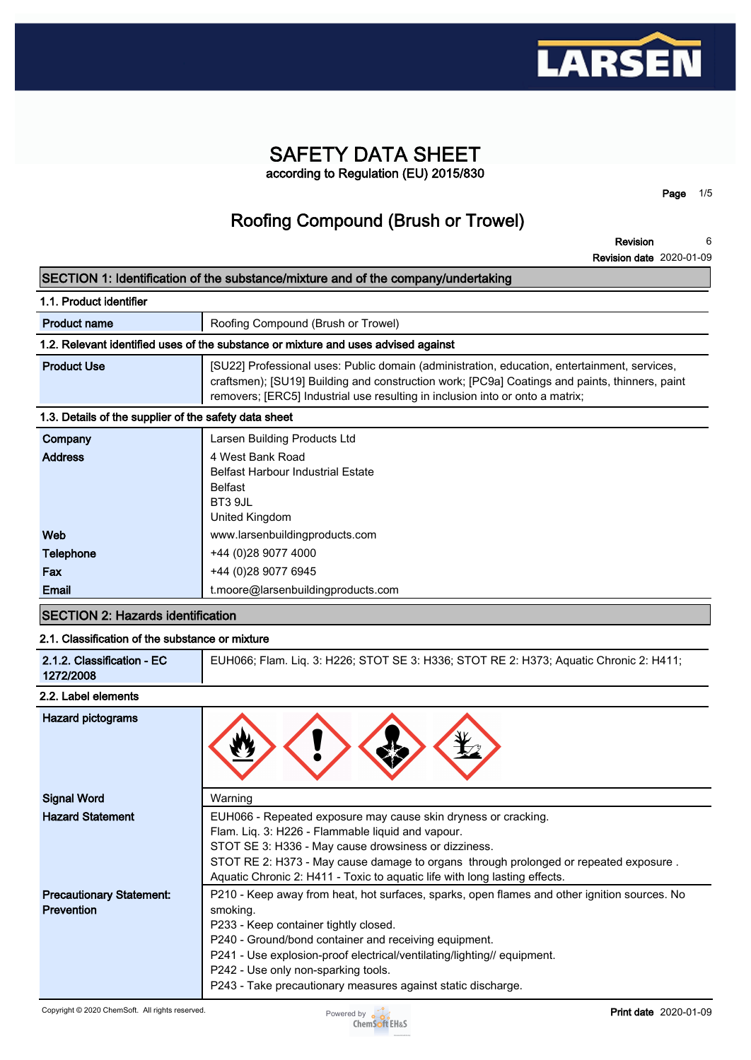

## **SAFETY DATA SHEET according to Regulation (EU) 2015/830**

**Page 1/5**

# **Roofing Compound (Brush or Trowel)**

**Revision Revision date 2020-01-09 6**

### **SECTION 1: Identification of the substance/mixture and of the company/undertaking**

| 1.1. Product identifier                               |                                                                                                                                                                                                                                                                                 |  |
|-------------------------------------------------------|---------------------------------------------------------------------------------------------------------------------------------------------------------------------------------------------------------------------------------------------------------------------------------|--|
| <b>Product name</b>                                   | Roofing Compound (Brush or Trowel)                                                                                                                                                                                                                                              |  |
|                                                       | 1.2. Relevant identified uses of the substance or mixture and uses advised against                                                                                                                                                                                              |  |
| <b>Product Use</b>                                    | [SU22] Professional uses: Public domain (administration, education, entertainment, services,<br>craftsmen); [SU19] Building and construction work; [PC9a] Coatings and paints, thinners, paint<br>removers; [ERC5] Industrial use resulting in inclusion into or onto a matrix; |  |
| 1.3. Details of the supplier of the safety data sheet |                                                                                                                                                                                                                                                                                 |  |
| Company                                               | Larsen Building Products Ltd                                                                                                                                                                                                                                                    |  |
| <b>Address</b>                                        | 4 West Bank Road<br><b>Belfast Harbour Industrial Estate</b><br>Belfast<br>BT3 9JL<br>United Kingdom                                                                                                                                                                            |  |
| Web                                                   | www.larsenbuildingproducts.com                                                                                                                                                                                                                                                  |  |
| <b>Telephone</b>                                      | +44 (0) 28 9077 4000                                                                                                                                                                                                                                                            |  |
| Fax                                                   | +44 (0)28 9077 6945                                                                                                                                                                                                                                                             |  |
| Email                                                 | t.moore@larsenbuildingproducts.com                                                                                                                                                                                                                                              |  |

## **SECTION 2: Hazards identification**

### **2.1. Classification of the substance or mixture**

| 2.1.2. Classification - EC<br>1272/2008 |
|-----------------------------------------|
|-----------------------------------------|

#### **2.2. Label elements**

| <b>Hazard pictograms</b>                             |                                                                                                                                                                                                                                                                                                                                                                                              |
|------------------------------------------------------|----------------------------------------------------------------------------------------------------------------------------------------------------------------------------------------------------------------------------------------------------------------------------------------------------------------------------------------------------------------------------------------------|
| <b>Signal Word</b>                                   | Warning                                                                                                                                                                                                                                                                                                                                                                                      |
| <b>Hazard Statement</b>                              | EUH066 - Repeated exposure may cause skin dryness or cracking.<br>Flam. Liq. 3: H226 - Flammable liquid and vapour.<br>STOT SE 3: H336 - May cause drowsiness or dizziness.                                                                                                                                                                                                                  |
|                                                      | STOT RE 2: H373 - May cause damage to organs through prolonged or repeated exposure.<br>Aquatic Chronic 2: H411 - Toxic to aquatic life with long lasting effects.                                                                                                                                                                                                                           |
| <b>Precautionary Statement:</b><br><b>Prevention</b> | P210 - Keep away from heat, hot surfaces, sparks, open flames and other ignition sources. No<br>smoking.<br>P233 - Keep container tightly closed.<br>P240 - Ground/bond container and receiving equipment.<br>P241 - Use explosion-proof electrical/ventilating/lighting// equipment.<br>P242 - Use only non-sparking tools.<br>P243 - Take precautionary measures against static discharge. |

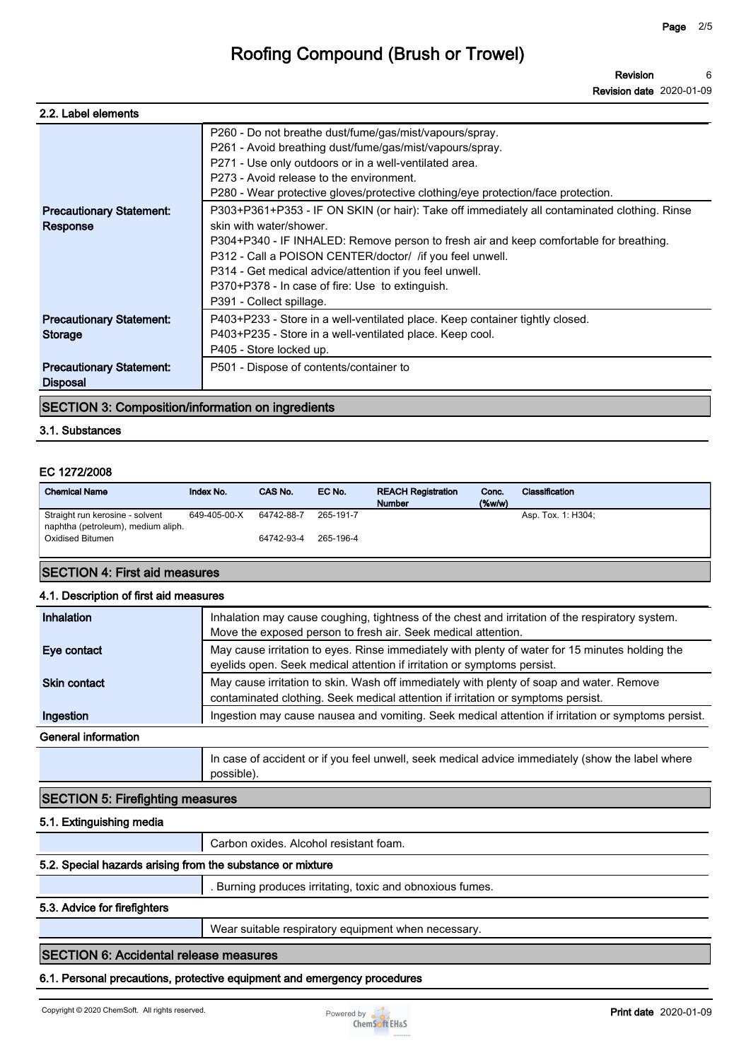| P260 - Do not breathe dust/fume/gas/mist/vapours/spray.<br>P261 - Avoid breathing dust/fume/gas/mist/vapours/spray.<br>P271 - Use only outdoors or in a well-ventilated area.<br>P273 - Avoid release to the environment.<br>P280 - Wear protective gloves/protective clothing/eye protection/face protection.<br>P303+P361+P353 - IF ON SKIN (or hair): Take off immediately all contaminated clothing. Rinse<br>skin with water/shower.<br>P304+P340 - IF INHALED: Remove person to fresh air and keep comfortable for breathing.<br>P312 - Call a POISON CENTER/doctor/ /if you feel unwell.<br>P314 - Get medical advice/attention if you feel unwell.<br>P370+P378 - In case of fire: Use to extinguish.<br>P391 - Collect spillage. |
|-------------------------------------------------------------------------------------------------------------------------------------------------------------------------------------------------------------------------------------------------------------------------------------------------------------------------------------------------------------------------------------------------------------------------------------------------------------------------------------------------------------------------------------------------------------------------------------------------------------------------------------------------------------------------------------------------------------------------------------------|
| P403+P233 - Store in a well-ventilated place. Keep container tightly closed.<br>P403+P235 - Store in a well-ventilated place. Keep cool.<br>P405 - Store locked up.                                                                                                                                                                                                                                                                                                                                                                                                                                                                                                                                                                       |
| P501 - Dispose of contents/container to                                                                                                                                                                                                                                                                                                                                                                                                                                                                                                                                                                                                                                                                                                   |
|                                                                                                                                                                                                                                                                                                                                                                                                                                                                                                                                                                                                                                                                                                                                           |

#### **SECTION 3: Composition/information on ingredients**

#### **3.1. Substances**

#### **EC 1272/2008**

| <b>Chemical Name</b>                                                  | Index No.    | CAS No.    | EC No.    | <b>REACH Registration</b><br><b>Number</b> | Conc.<br>$(\%w/w)$ | Classification     |
|-----------------------------------------------------------------------|--------------|------------|-----------|--------------------------------------------|--------------------|--------------------|
| Straight run kerosine - solvent<br>naphtha (petroleum), medium aliph. | 649-405-00-X | 64742-88-7 | 265-191-7 |                                            |                    | Asp. Tox. 1: H304; |
| Oxidised Bitumen                                                      |              | 64742-93-4 | 265-196-4 |                                            |                    |                    |
| _________                                                             |              |            |           |                                            |                    |                    |

## **SECTION 4: First aid measures**

### **4.1. Description of first aid measures**

| Inhalation          | Inhalation may cause coughing, tightness of the chest and irritation of the respiratory system.<br>Move the exposed person to fresh air. Seek medical attention.             |
|---------------------|------------------------------------------------------------------------------------------------------------------------------------------------------------------------------|
| Eye contact         | May cause irritation to eyes. Rinse immediately with plenty of water for 15 minutes holding the<br>eyelids open. Seek medical attention if irritation or symptoms persist.   |
| <b>Skin contact</b> | May cause irritation to skin. Wash off immediately with plenty of soap and water. Remove<br>contaminated clothing. Seek medical attention if irritation or symptoms persist. |
| Ingestion           | Ingestion may cause nausea and vomiting. Seek medical attention if irritation or symptoms persist.                                                                           |
| General information |                                                                                                                                                                              |
|                     | In case of accident or if you feel unwell, seek medical advice immediately (show the label where<br>possible).                                                               |

### **SECTION 5: Firefighting measures**

#### **5.1. Extinguishing media**

**Carbon oxides. Alcohol resistant foam.**

#### **5.2. Special hazards arising from the substance or mixture**

**. Burning produces irritating, toxic and obnoxious fumes.**

#### **5.3. Advice for firefighters**

**Wear suitable respiratory equipment when necessary.**

## **SECTION 6: Accidental release measures**

**6.1. Personal precautions, protective equipment and emergency procedures**

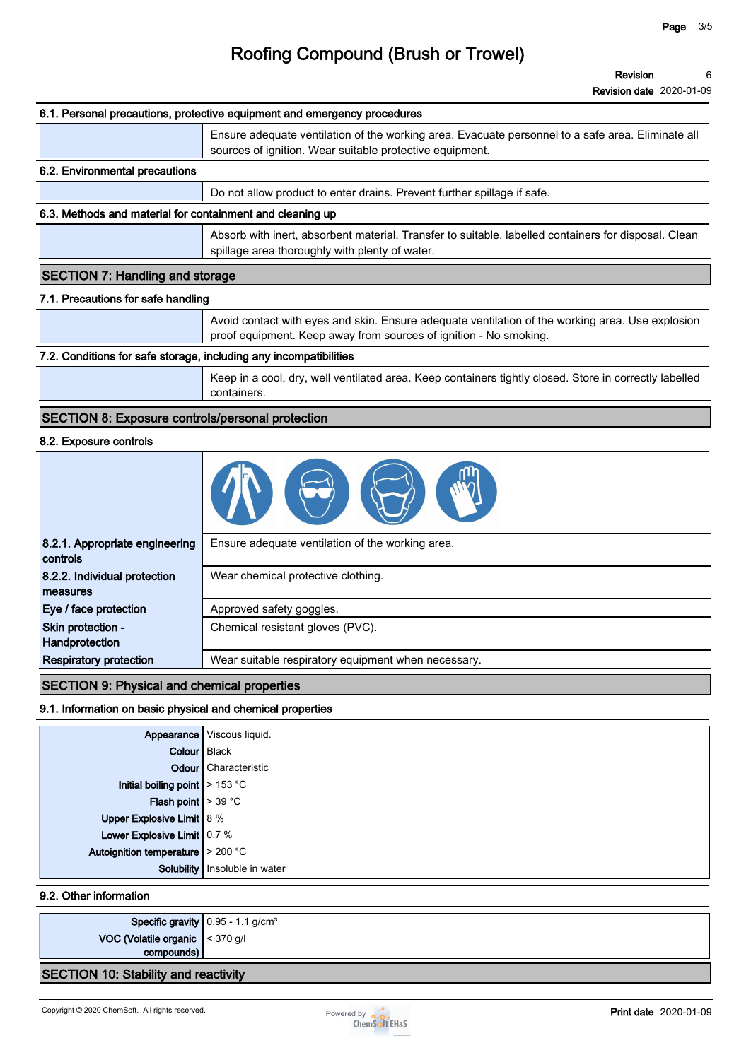**Revision Revision date 2020-01-09 6**

|                                                                   | <b>Revision date 2020-01-09</b>                                                                                                                                       |
|-------------------------------------------------------------------|-----------------------------------------------------------------------------------------------------------------------------------------------------------------------|
|                                                                   | 6.1. Personal precautions, protective equipment and emergency procedures                                                                                              |
|                                                                   | Ensure adequate ventilation of the working area. Evacuate personnel to a safe area. Eliminate all<br>sources of ignition. Wear suitable protective equipment.         |
| 6.2. Environmental precautions                                    |                                                                                                                                                                       |
|                                                                   | Do not allow product to enter drains. Prevent further spillage if safe.                                                                                               |
| 6.3. Methods and material for containment and cleaning up         |                                                                                                                                                                       |
|                                                                   | Absorb with inert, absorbent material. Transfer to suitable, labelled containers for disposal. Clean<br>spillage area thoroughly with plenty of water.                |
| <b>SECTION 7: Handling and storage</b>                            |                                                                                                                                                                       |
| 7.1. Precautions for safe handling                                |                                                                                                                                                                       |
|                                                                   | Avoid contact with eyes and skin. Ensure adequate ventilation of the working area. Use explosion<br>proof equipment. Keep away from sources of ignition - No smoking. |
| 7.2. Conditions for safe storage, including any incompatibilities |                                                                                                                                                                       |
|                                                                   | Keep in a cool, dry, well ventilated area. Keep containers tightly closed. Store in correctly labelled<br>containers.                                                 |
| <b>SECTION 8: Exposure controls/personal protection</b>           |                                                                                                                                                                       |
| 8.2. Exposure controls                                            |                                                                                                                                                                       |
|                                                                   |                                                                                                                                                                       |
| 8.2.1. Appropriate engineering<br>controls                        | Ensure adequate ventilation of the working area.                                                                                                                      |
| 8.2.2. Individual protection<br>measures                          | Wear chemical protective clothing.                                                                                                                                    |
| Eye / face protection                                             | Approved safety goggles.                                                                                                                                              |

**Skin protection - Handprotection Respiratory protection Wear suitable respiratory equipment when necessary.** 

**Chemical resistant gloves (PVC).**

## **SECTION 9: Physical and chemical properties**

## **9.1. Information on basic physical and chemical properties**

|                                               | Appearance Viscous liquid.      |
|-----------------------------------------------|---------------------------------|
| Colour Black                                  |                                 |
|                                               | <b>Odour</b> Characteristic     |
| Initial boiling point $\geq 153 \text{ °C}$   |                                 |
| <b>Flash point</b> $> 39 °C$                  |                                 |
| Upper Explosive Limit 8 %                     |                                 |
| Lower Explosive Limit 0.7 %                   |                                 |
| Autoignition temperature $\sim 200 \degree C$ |                                 |
|                                               | Solubility   Insoluble in water |

## **9.2. Other information**

|                                                                         | <b>Specific gravity</b> $0.95 - 1.1$ g/cm <sup>3</sup> |
|-------------------------------------------------------------------------|--------------------------------------------------------|
| <b>VOC (Volatile organic <math>\vert</math></b> < 370 g/l<br>compounds) |                                                        |
| <b>SECTION 10: Stability and reactivity</b>                             |                                                        |

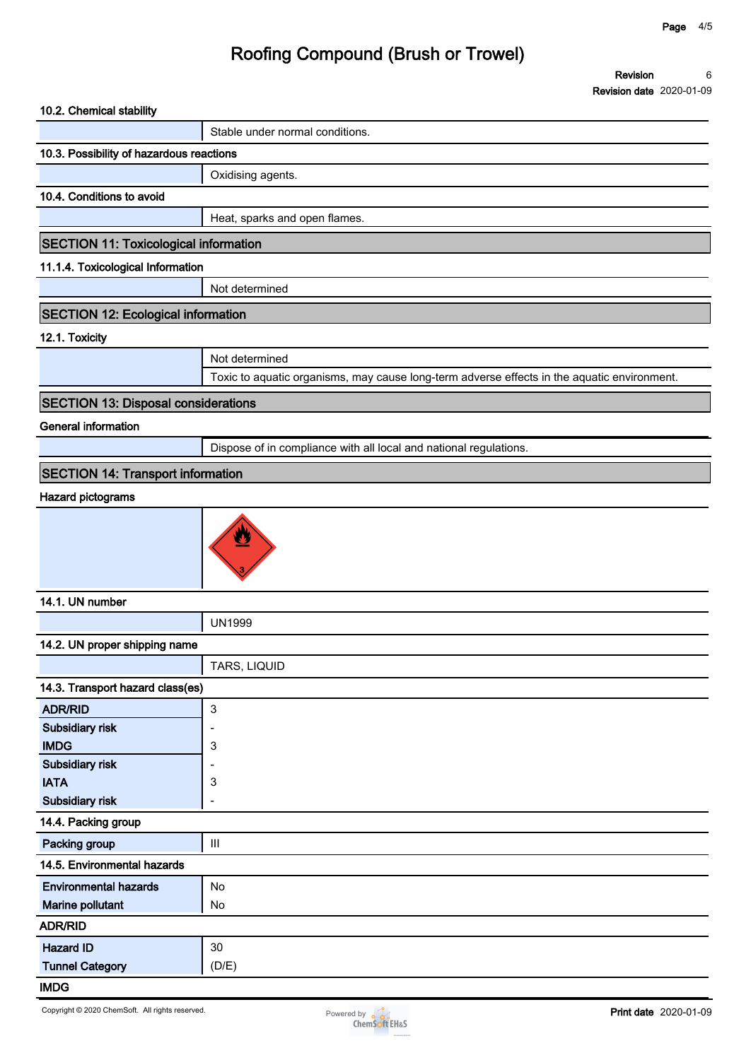**Revision Revision date 2020-01-09 6**

| 10.2. Chemical stability                        |                                                                                             |
|-------------------------------------------------|---------------------------------------------------------------------------------------------|
|                                                 | Stable under normal conditions.                                                             |
| 10.3. Possibility of hazardous reactions        |                                                                                             |
|                                                 | Oxidising agents.                                                                           |
| 10.4. Conditions to avoid                       |                                                                                             |
|                                                 | Heat, sparks and open flames.                                                               |
| SECTION 11: Toxicological information           |                                                                                             |
| 11.1.4. Toxicological Information               |                                                                                             |
|                                                 | Not determined                                                                              |
| <b>SECTION 12: Ecological information</b>       |                                                                                             |
| 12.1. Toxicity                                  |                                                                                             |
|                                                 | Not determined                                                                              |
|                                                 | Toxic to aquatic organisms, may cause long-term adverse effects in the aquatic environment. |
|                                                 |                                                                                             |
| <b>SECTION 13: Disposal considerations</b>      |                                                                                             |
| <b>General information</b>                      |                                                                                             |
|                                                 | Dispose of in compliance with all local and national regulations.                           |
| <b>SECTION 14: Transport information</b>        |                                                                                             |
| <b>Hazard pictograms</b>                        |                                                                                             |
|                                                 | y                                                                                           |
| 14.1. UN number                                 |                                                                                             |
|                                                 | <b>UN1999</b>                                                                               |
| 14.2. UN proper shipping name                   |                                                                                             |
|                                                 | TARS, LIQUID                                                                                |
| 14.3. Transport hazard class(es)                |                                                                                             |
| <b>ADR/RID</b>                                  | $\ensuremath{\mathsf{3}}$                                                                   |
| Subsidiary risk                                 |                                                                                             |
| <b>IMDG</b>                                     | 3                                                                                           |
| Subsidiary risk                                 | ٠                                                                                           |
| <b>IATA</b><br>Subsidiary risk                  | 3                                                                                           |
|                                                 | Ĭ.                                                                                          |
| 14.4. Packing group                             |                                                                                             |
| Packing group                                   | Ш                                                                                           |
| 14.5. Environmental hazards                     |                                                                                             |
| <b>Environmental hazards</b>                    | No                                                                                          |
| Marine pollutant                                | No                                                                                          |
| <b>ADR/RID</b>                                  |                                                                                             |
| <b>Hazard ID</b>                                | 30                                                                                          |
| <b>Tunnel Category</b>                          | (D/E)                                                                                       |
| <b>IMDG</b>                                     |                                                                                             |
| Copyright © 2020 ChemSoft. All rights reserved. | <b>Print date</b> 2020-01-09<br>Powered by <b>o</b><br><b>ChemSoft EH&amp;S</b>             |